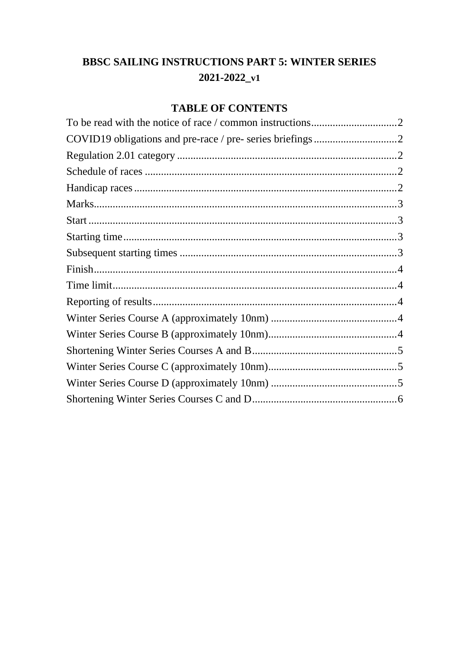# **BBSC SAILING INSTRUCTIONS PART 5: WINTER SERIES**  $2021 - 2022$ <sub>-V1</sub>

## **TABLE OF CONTENTS**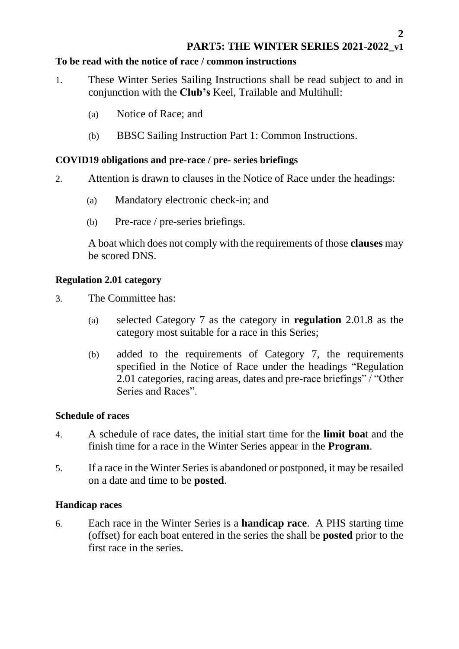## **PART5: THE WINTER SERIES 2021-2022\_v1**

#### <span id="page-1-0"></span>**To be read with the notice of race / common instructions**

- 1. These Winter Series Sailing Instructions shall be read subject to and in conjunction with the **Club's** Keel, Trailable and Multihull:
	- (a) Notice of Race; and
	- (b) BBSC Sailing Instruction Part 1: Common Instructions.

## <span id="page-1-1"></span>**COVID19 obligations and pre-race / pre- series briefings**

- 2. Attention is drawn to clauses in the Notice of Race under the headings:
	- (a) Mandatory electronic check-in; and
	- (b) Pre-race / pre-series briefings.

A boat which does not comply with the requirements of those **clauses** may be scored DNS.

#### <span id="page-1-2"></span>**Regulation 2.01 category**

- 3. The Committee has:
	- (a) selected Category 7 as the category in **regulation** 2.01.8 as the category most suitable for a race in this Series;
	- (b) added to the requirements of Category 7, the requirements specified in the Notice of Race under the headings "Regulation 2.01 categories, racing areas, dates and pre-race briefings" / "Other Series and Races".

#### <span id="page-1-3"></span>**Schedule of races**

- 4. A schedule of race dates, the initial start time for the **limit boa**t and the finish time for a race in the Winter Series appear in the **Program**.
- 5. If a race in the Winter Series is abandoned or postponed, it may be resailed on a date and time to be **posted**.

#### <span id="page-1-4"></span>**Handicap races**

6. Each race in the Winter Series is a **handicap race**. A PHS starting time (offset) for each boat entered in the series the shall be **posted** prior to the first race in the series.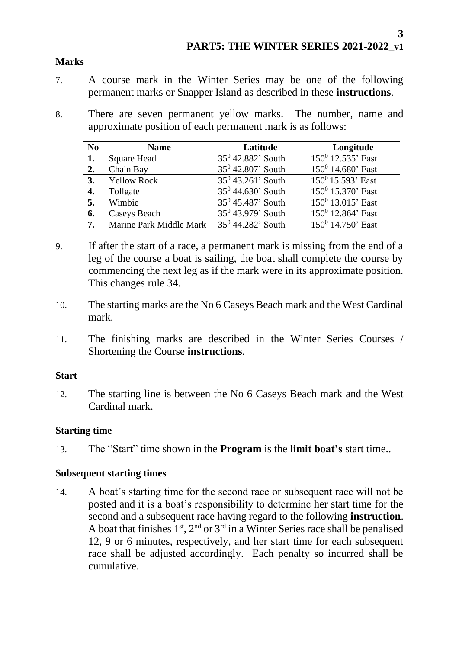## <span id="page-2-0"></span>**Marks**

- 7. A course mark in the Winter Series may be one of the following permanent marks or Snapper Island as described in these **instructions**.
- 8. There are seven permanent yellow marks. The number, name and approximate position of each permanent mark is as follows:

| N <sub>0</sub>   | <b>Name</b>             | Latitude             | Longitude            |
|------------------|-------------------------|----------------------|----------------------|
| 1.               | <b>Square Head</b>      | $35^0$ 42.882' South | $150^0$ 12.535' East |
| 2.               | Chain Bay               | $35^0$ 42.807' South | $150^0$ 14.680' East |
| 3.               | <b>Yellow Rock</b>      | $35^0$ 43.261' South | $150^0$ 15.593' East |
| 4.               | Tollgate                | $35^0$ 44.630' South | $150^0$ 15.370' East |
| 5.               | Wimbie                  | $35^0$ 45.487' South | $150^0$ 13.015' East |
| 6.               | Caseys Beach            | $35^0$ 43.979' South | $150^0$ 12.864' East |
| $\overline{7}$ . | Marine Park Middle Mark | $35^0$ 44.282' South | $150^0$ 14.750' East |

- 9. If after the start of a race, a permanent mark is missing from the end of a leg of the course a boat is sailing, the boat shall complete the course by commencing the next leg as if the mark were in its approximate position. This changes rule 34.
- 10. The starting marks are the No 6 Caseys Beach mark and the West Cardinal mark.
- 11. The finishing marks are described in the Winter Series Courses / Shortening the Course **instructions**.

## <span id="page-2-1"></span>**Start**

12. The starting line is between the No 6 Caseys Beach mark and the West Cardinal mark.

## <span id="page-2-2"></span>**Starting time**

13. The "Start" time shown in the **Program** is the **limit boat's** start time..

## <span id="page-2-3"></span>**Subsequent starting times**

14. A boat's starting time for the second race or subsequent race will not be posted and it is a boat's responsibility to determine her start time for the second and a subsequent race having regard to the following **instruction**. A boat that finishes  $1<sup>st</sup>$ ,  $2<sup>nd</sup>$  or  $3<sup>rd</sup>$  in a Winter Series race shall be penalised 12, 9 or 6 minutes, respectively, and her start time for each subsequent race shall be adjusted accordingly. Each penalty so incurred shall be cumulative.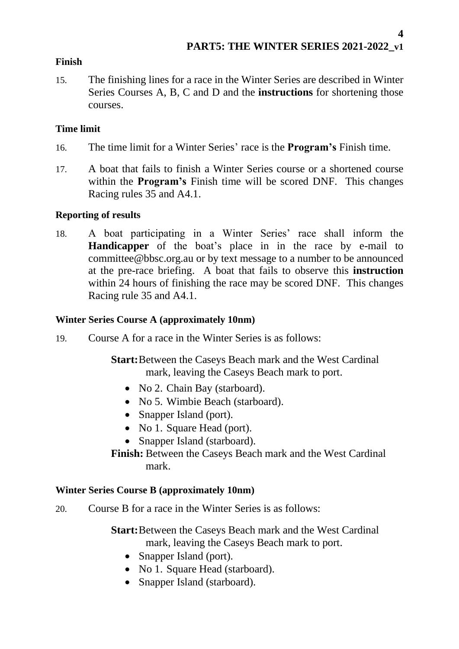## <span id="page-3-0"></span>**Finish**

15. The finishing lines for a race in the Winter Series are described in Winter Series Courses A, B, C and D and the **instructions** for shortening those courses.

## <span id="page-3-1"></span>**Time limit**

- 16. The time limit for a Winter Series' race is the **Program's** Finish time.
- 17. A boat that fails to finish a Winter Series course or a shortened course within the **Program's** Finish time will be scored DNF. This changes Racing rules 35 and A4.1.

## <span id="page-3-2"></span>**Reporting of results**

18. A boat participating in a Winter Series' race shall inform the **Handicapper** of the boat's place in in the race by e-mail to committee@bbsc.org.au or by text message to a number to be announced at the pre-race briefing. A boat that fails to observe this **instruction** within 24 hours of finishing the race may be scored DNF. This changes Racing rule 35 and A4.1.

## <span id="page-3-3"></span>**Winter Series Course A (approximately 10nm)**

19. Course A for a race in the Winter Series is as follows:

**Start:**Between the Caseys Beach mark and the West Cardinal mark, leaving the Caseys Beach mark to port.

- No 2. Chain Bay (starboard).
- No 5. Wimbie Beach (starboard).
- Snapper Island (port).
- No 1. Square Head (port).
- Snapper Island (starboard).

**Finish:** Between the Caseys Beach mark and the West Cardinal mark.

## <span id="page-3-4"></span>**Winter Series Course B (approximately 10nm)**

20. Course B for a race in the Winter Series is as follows:

**Start:**Between the Caseys Beach mark and the West Cardinal mark, leaving the Caseys Beach mark to port.

- Snapper Island (port).
- No 1. Square Head (starboard).
- Snapper Island (starboard).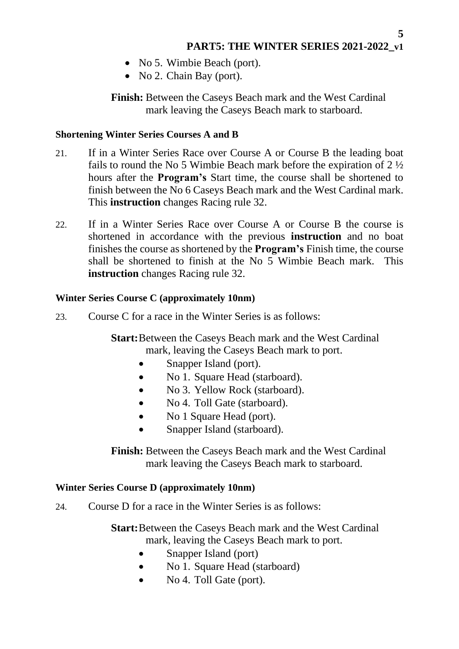- No 5. Wimbie Beach (port).
- No 2. Chain Bay (port).

**Finish:** Between the Caseys Beach mark and the West Cardinal mark leaving the Caseys Beach mark to starboard.

## <span id="page-4-0"></span>**Shortening Winter Series Courses A and B**

- 21. If in a Winter Series Race over Course A or Course B the leading boat fails to round the No 5 Wimbie Beach mark before the expiration of 2 ½ hours after the **Program's** Start time, the course shall be shortened to finish between the No 6 Caseys Beach mark and the West Cardinal mark. This **instruction** changes Racing rule 32.
- 22. If in a Winter Series Race over Course A or Course B the course is shortened in accordance with the previous **instruction** and no boat finishes the course as shortened by the **Program's** Finish time, the course shall be shortened to finish at the No 5 Wimbie Beach mark. This **instruction** changes Racing rule 32.

## <span id="page-4-1"></span>**Winter Series Course C (approximately 10nm)**

23. Course C for a race in the Winter Series is as follows:

**Start:**Between the Caseys Beach mark and the West Cardinal mark, leaving the Caseys Beach mark to port.

- Snapper Island (port).
- No 1. Square Head (starboard).
- No 3. Yellow Rock (starboard).
- No 4. Toll Gate (starboard).
- No 1 Square Head (port).
- Snapper Island (starboard).

**Finish:** Between the Caseys Beach mark and the West Cardinal mark leaving the Caseys Beach mark to starboard.

## <span id="page-4-2"></span>**Winter Series Course D (approximately 10nm)**

24. Course D for a race in the Winter Series is as follows:

**Start:**Between the Caseys Beach mark and the West Cardinal mark, leaving the Caseys Beach mark to port.

- Snapper Island (port)
- No 1. Square Head (starboard)
- No 4. Toll Gate (port).